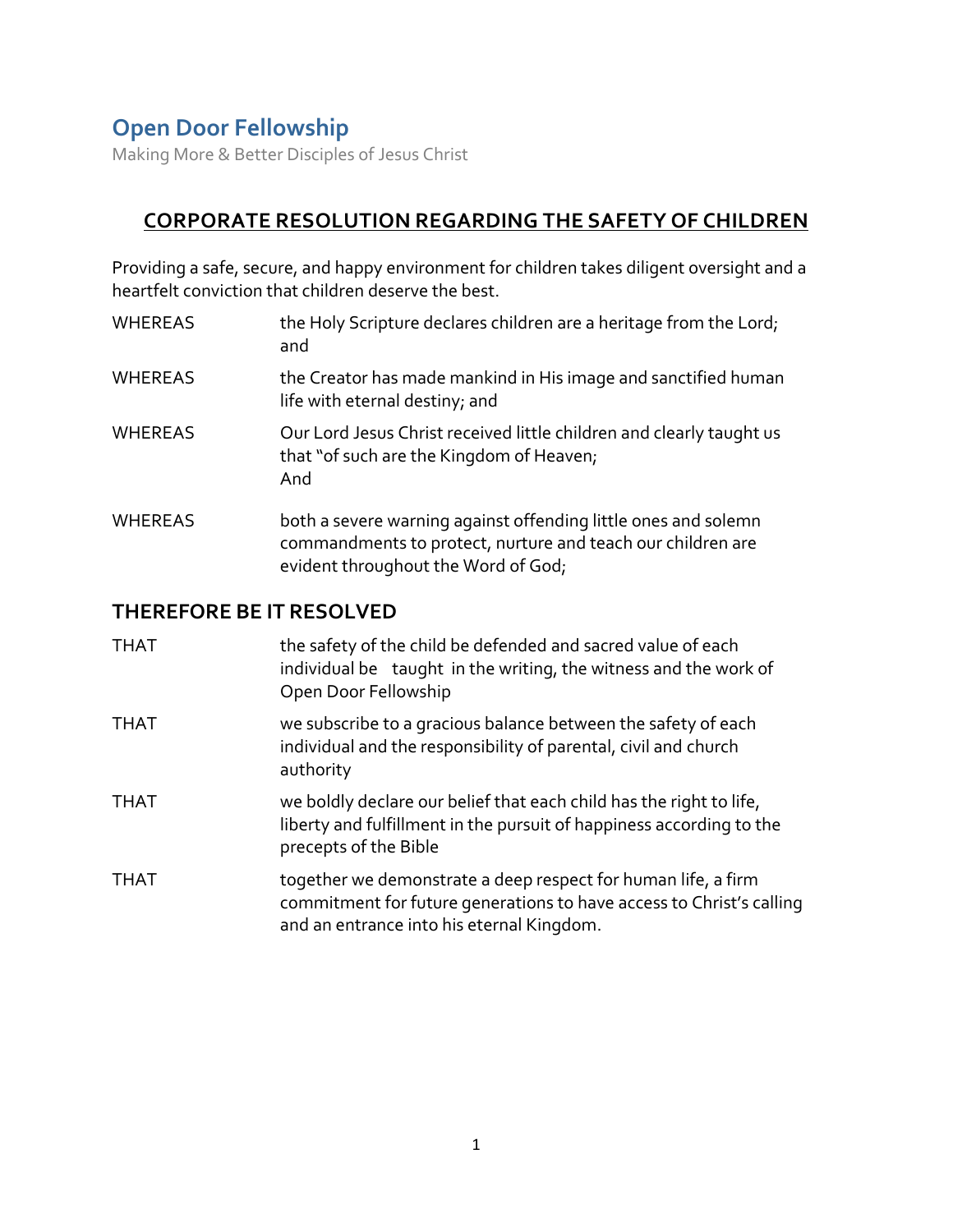Making More & Better Disciples of Jesus Christ

### **CORPORATE RESOLUTION REGARDING THE SAFETY OF CHILDREN**

Providing a safe, secure, and happy environment for children takes diligent oversight and a heartfelt conviction that children deserve the best.

- WHEREAS the Holy Scripture declares children are a heritage from the Lord; and
- WHEREAS the Creator has made mankind in His image and sanctified human life with eternal destiny; and
- WHEREAS Our Lord Jesus Christ received little children and clearly taught us that "of such are the Kingdom of Heaven; And
- WHEREAS both a severe warning against offending little ones and solemn commandments to protect, nurture and teach our children are evident throughout the Word of God;

### **THEREFORE BE IT RESOLVED**

| <b>THAT</b> | the safety of the child be defended and sacred value of each<br>individual be taught in the writing, the witness and the work of<br>Open Door Fellowship                           |
|-------------|------------------------------------------------------------------------------------------------------------------------------------------------------------------------------------|
| THAT        | we subscribe to a gracious balance between the safety of each<br>individual and the responsibility of parental, civil and church<br>authority                                      |
| THAT        | we boldly declare our belief that each child has the right to life,<br>liberty and fulfillment in the pursuit of happiness according to the<br>precepts of the Bible               |
| <b>THAT</b> | together we demonstrate a deep respect for human life, a firm<br>commitment for future generations to have access to Christ's calling<br>and an entrance into his eternal Kingdom. |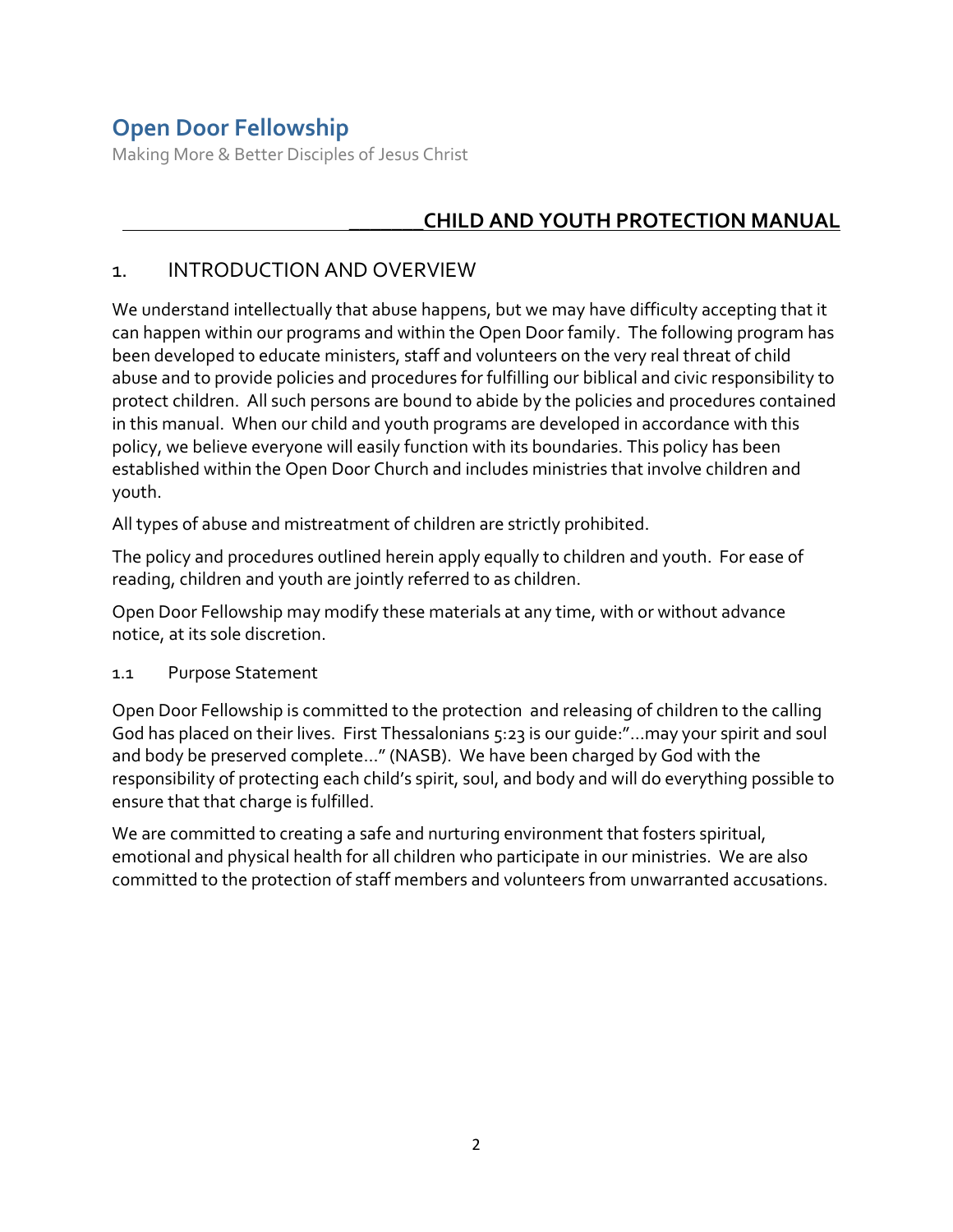Making More & Better Disciples of Jesus Christ

## **\_\_\_\_\_\_\_CHILD AND YOUTH PROTECTION MANUAL**

#### 1. INTRODUCTION AND OVERVIEW

We understand intellectually that abuse happens, but we may have difficulty accepting that it can happen within our programs and within the Open Door family. The following program has been developed to educate ministers, staff and volunteers on the very real threat of child abuse and to provide policies and procedures for fulfilling our biblical and civic responsibility to protect children. All such persons are bound to abide by the policies and procedures contained in this manual. When our child and youth programs are developed in accordance with this policy, we believe everyone will easily function with its boundaries. This policy has been established within the Open Door Church and includes ministries that involve children and youth.

All types of abuse and mistreatment of children are strictly prohibited.

The policy and procedures outlined herein apply equally to children and youth. For ease of reading, children and youth are jointly referred to as children.

Open Door Fellowship may modify these materials at any time, with or without advance notice, at its sole discretion.

#### 1.1 Purpose Statement

Open Door Fellowship is committed to the protection and releasing of children to the calling God has placed on their lives. First Thessalonians 5:23 is our guide:"…may your spirit and soul and body be preserved complete…" (NASB). We have been charged by God with the responsibility of protecting each child's spirit, soul, and body and will do everything possible to ensure that that charge is fulfilled.

We are committed to creating a safe and nurturing environment that fosters spiritual, emotional and physical health for all children who participate in our ministries. We are also committed to the protection of staff members and volunteers from unwarranted accusations.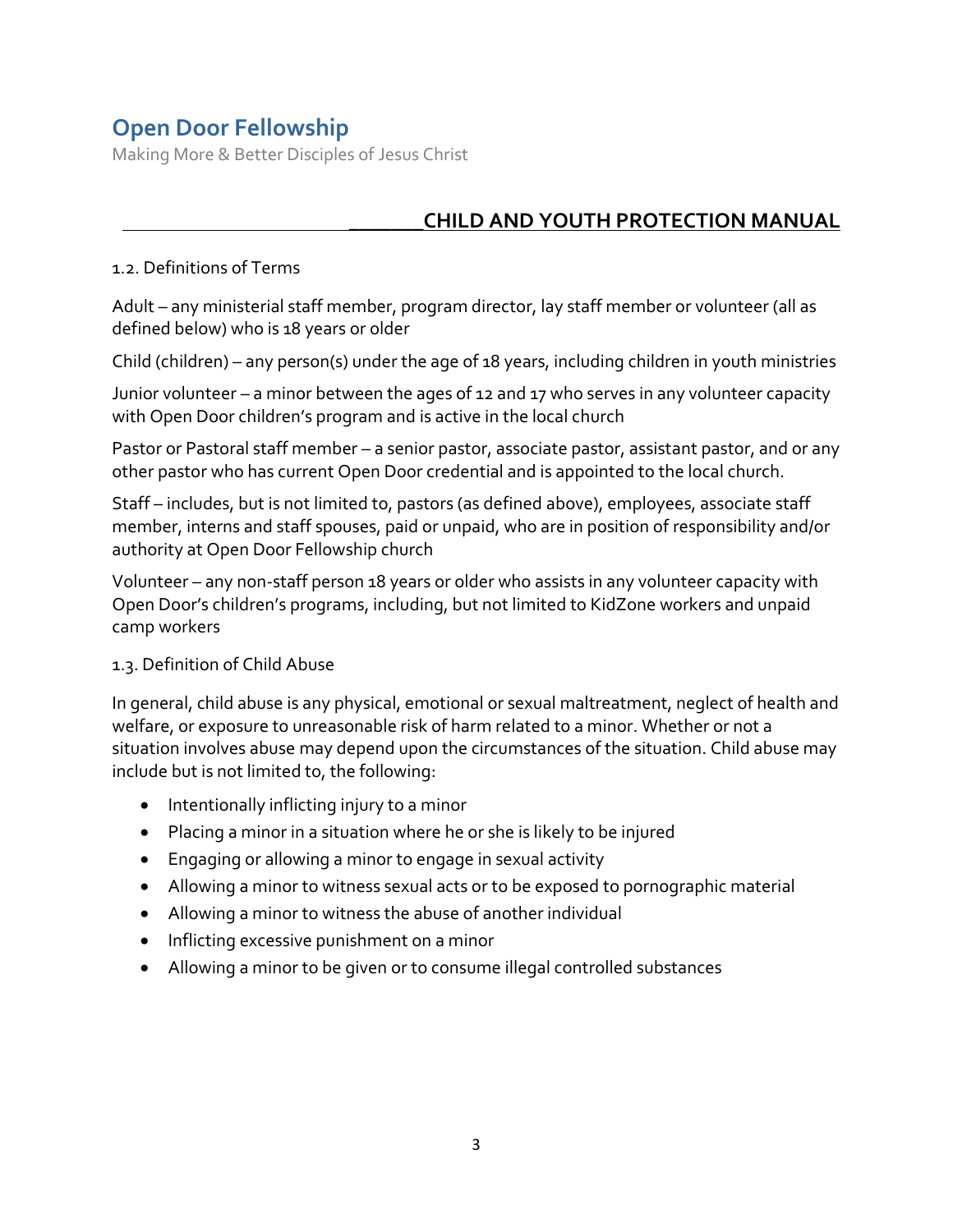Making More & Better Disciples of Jesus Christ

### \_\_\_\_\_\_\_**CHILD AND YOUTH PROTECTION MANUAL**

#### 1.2. Definitions of Terms

Adult – any ministerial staff member, program director, lay staff member or volunteer (all as defined below) who is 18 years or older

Child (children) – any person(s) under the age of 18 years, including children in youth ministries

Junior volunteer – a minor between the ages of 12 and 17 who serves in any volunteer capacity with Open Door children's program and is active in the local church

Pastor or Pastoral staff member – a senior pastor, associate pastor, assistant pastor, and or any other pastor who has current Open Door credential and is appointed to the local church.

Staff – includes, but is not limited to, pastors (as defined above), employees, associate staff member, interns and staff spouses, paid or unpaid, who are in position of responsibility and/or authority at Open Door Fellowship church

Volunteer – any non-staff person 18 years or older who assists in any volunteer capacity with Open Door's children's programs, including, but not limited to KidZone workers and unpaid camp workers

#### 1.3. Definition of Child Abuse

In general, child abuse is any physical, emotional or sexual maltreatment, neglect of health and welfare, or exposure to unreasonable risk of harm related to a minor. Whether or not a situation involves abuse may depend upon the circumstances of the situation. Child abuse may include but is not limited to, the following:

- Intentionally inflicting injury to a minor
- Placing a minor in a situation where he or she is likely to be injured
- Engaging or allowing a minor to engage in sexual activity
- Allowing a minor to witness sexual acts or to be exposed to pornographic material
- Allowing a minor to witness the abuse of another individual
- Inflicting excessive punishment on a minor
- Allowing a minor to be given or to consume illegal controlled substances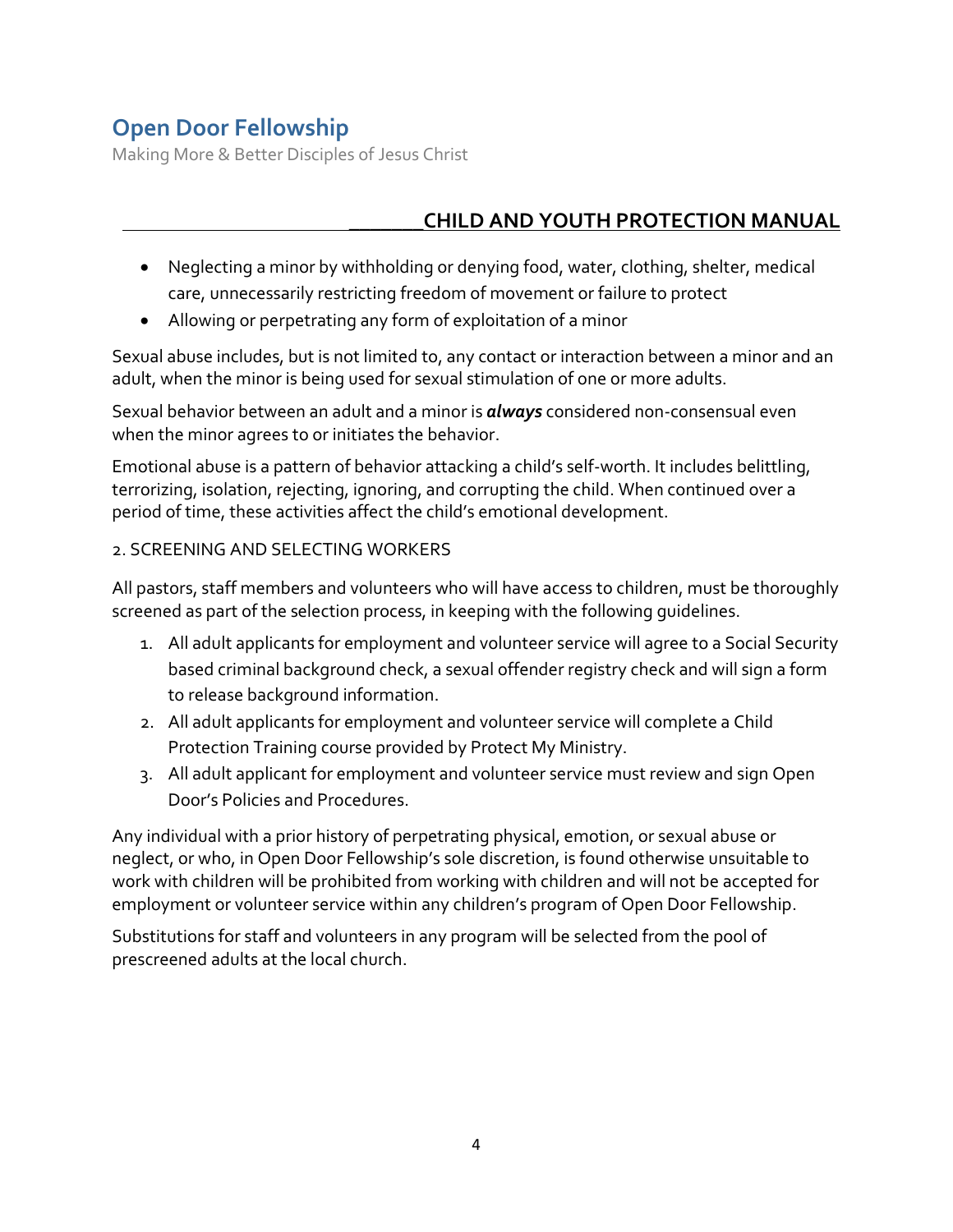Making More & Better Disciples of Jesus Christ

## \_\_\_\_\_\_\_**CHILD AND YOUTH PROTECTION MANUAL**

- Neglecting a minor by withholding or denying food, water, clothing, shelter, medical care, unnecessarily restricting freedom of movement or failure to protect
- Allowing or perpetrating any form of exploitation of a minor

Sexual abuse includes, but is not limited to, any contact or interaction between a minor and an adult, when the minor is being used for sexual stimulation of one or more adults.

Sexual behavior between an adult and a minor is *always* considered non-consensual even when the minor agrees to or initiates the behavior.

Emotional abuse is a pattern of behavior attacking a child's self-worth. It includes belittling, terrorizing, isolation, rejecting, ignoring, and corrupting the child. When continued over a period of time, these activities affect the child's emotional development.

#### 2. SCREENING AND SELECTING WORKERS

All pastors, staff members and volunteers who will have access to children, must be thoroughly screened as part of the selection process, in keeping with the following guidelines.

- 1. All adult applicants for employment and volunteer service will agree to a Social Security based criminal background check, a sexual offender registry check and will sign a form to release background information.
- 2. All adult applicants for employment and volunteer service will complete a Child Protection Training course provided by Protect My Ministry.
- 3. All adult applicant for employment and volunteer service must review and sign Open Door's Policies and Procedures.

Any individual with a prior history of perpetrating physical, emotion, or sexual abuse or neglect, or who, in Open Door Fellowship's sole discretion, is found otherwise unsuitable to work with children will be prohibited from working with children and will not be accepted for employment or volunteer service within any children's program of Open Door Fellowship.

Substitutions for staff and volunteers in any program will be selected from the pool of prescreened adults at the local church.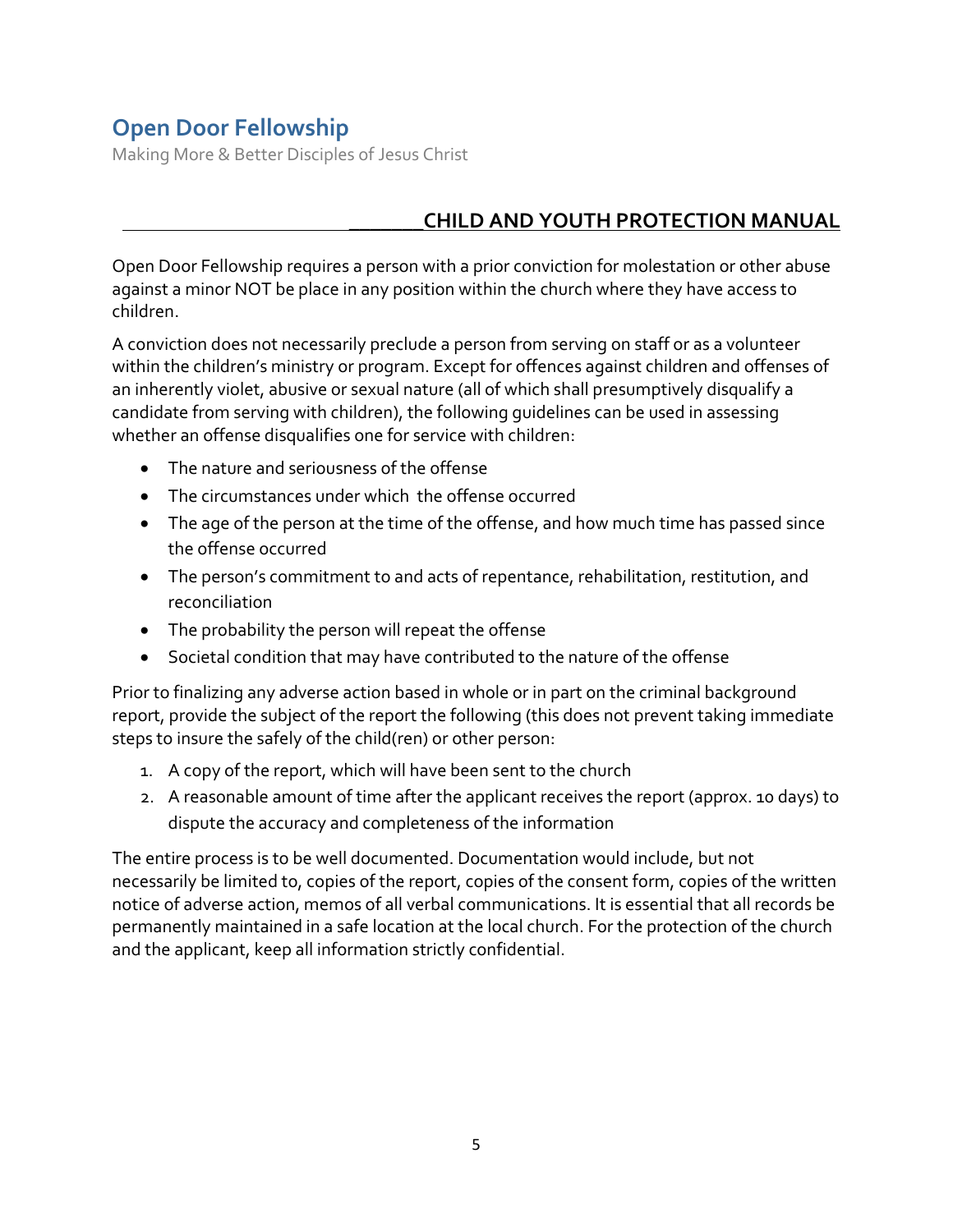Making More & Better Disciples of Jesus Christ

### \_\_\_\_\_\_\_**CHILD AND YOUTH PROTECTION MANUAL**

Open Door Fellowship requires a person with a prior conviction for molestation or other abuse against a minor NOT be place in any position within the church where they have access to children.

A conviction does not necessarily preclude a person from serving on staff or as a volunteer within the children's ministry or program. Except for offences against children and offenses of an inherently violet, abusive or sexual nature (all of which shall presumptively disqualify a candidate from serving with children), the following guidelines can be used in assessing whether an offense disqualifies one for service with children:

- The nature and seriousness of the offense
- The circumstances under which the offense occurred
- The age of the person at the time of the offense, and how much time has passed since the offense occurred
- The person's commitment to and acts of repentance, rehabilitation, restitution, and reconciliation
- The probability the person will repeat the offense
- Societal condition that may have contributed to the nature of the offense

Prior to finalizing any adverse action based in whole or in part on the criminal background report, provide the subject of the report the following (this does not prevent taking immediate steps to insure the safely of the child(ren) or other person:

- 1. A copy of the report, which will have been sent to the church
- 2. A reasonable amount of time after the applicant receives the report (approx. 10 days) to dispute the accuracy and completeness of the information

The entire process is to be well documented. Documentation would include, but not necessarily be limited to, copies of the report, copies of the consent form, copies of the written notice of adverse action, memos of all verbal communications. It is essential that all records be permanently maintained in a safe location at the local church. For the protection of the church and the applicant, keep all information strictly confidential.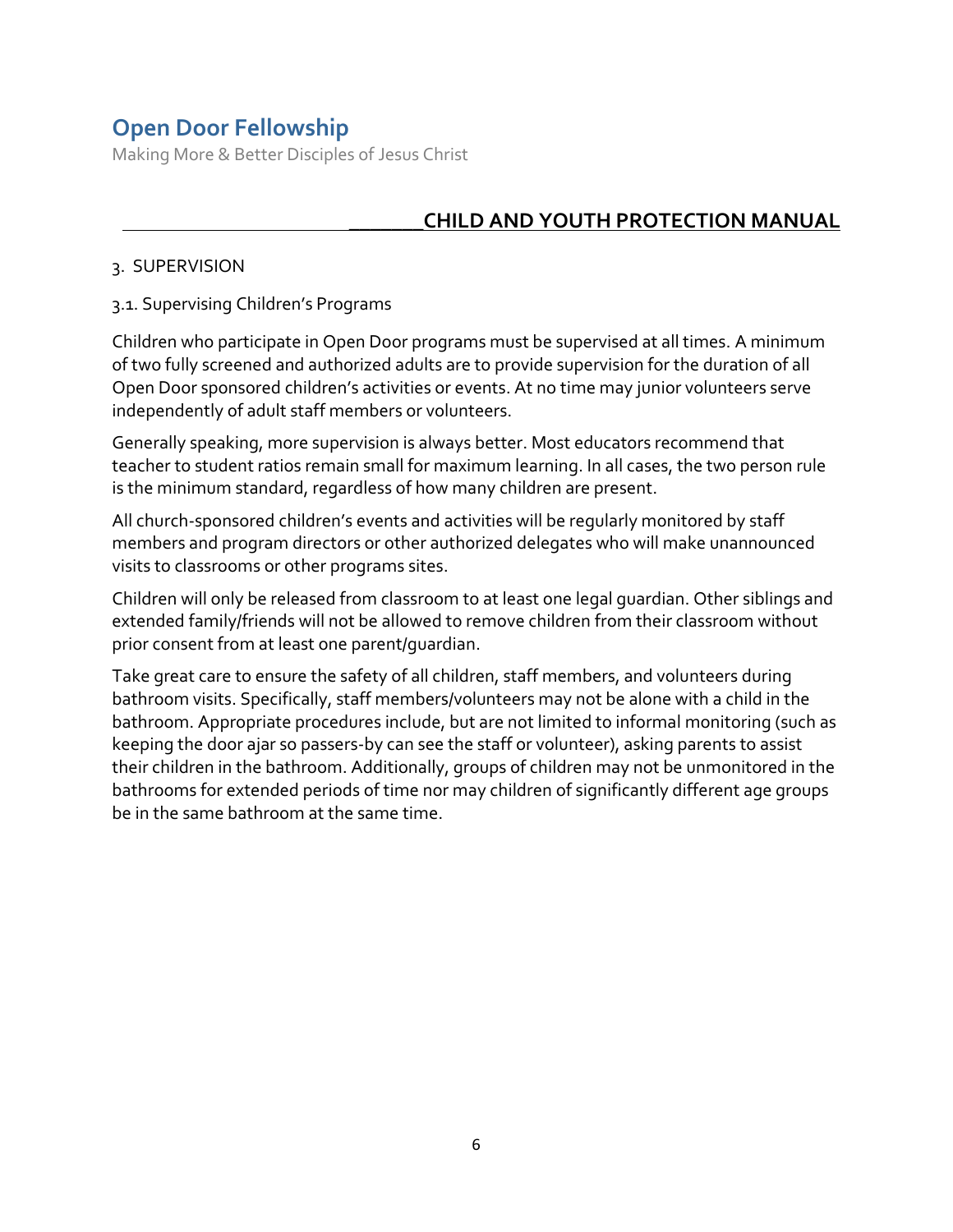Making More & Better Disciples of Jesus Christ

### \_\_\_\_\_\_\_**CHILD AND YOUTH PROTECTION MANUAL**

#### 3. SUPERVISION

#### 3.1. Supervising Children's Programs

Children who participate in Open Door programs must be supervised at all times. A minimum of two fully screened and authorized adults are to provide supervision for the duration of all Open Door sponsored children's activities or events. At no time may junior volunteers serve independently of adult staff members or volunteers.

Generally speaking, more supervision is always better. Most educators recommend that teacher to student ratios remain small for maximum learning. In all cases, the two person rule is the minimum standard, regardless of how many children are present.

All church-sponsored children's events and activities will be regularly monitored by staff members and program directors or other authorized delegates who will make unannounced visits to classrooms or other programs sites.

Children will only be released from classroom to at least one legal guardian. Other siblings and extended family/friends will not be allowed to remove children from their classroom without prior consent from at least one parent/guardian.

Take great care to ensure the safety of all children, staff members, and volunteers during bathroom visits. Specifically, staff members/volunteers may not be alone with a child in the bathroom. Appropriate procedures include, but are not limited to informal monitoring (such as keeping the door ajar so passers-by can see the staff or volunteer), asking parents to assist their children in the bathroom. Additionally, groups of children may not be unmonitored in the bathrooms for extended periods of time nor may children of significantly different age groups be in the same bathroom at the same time.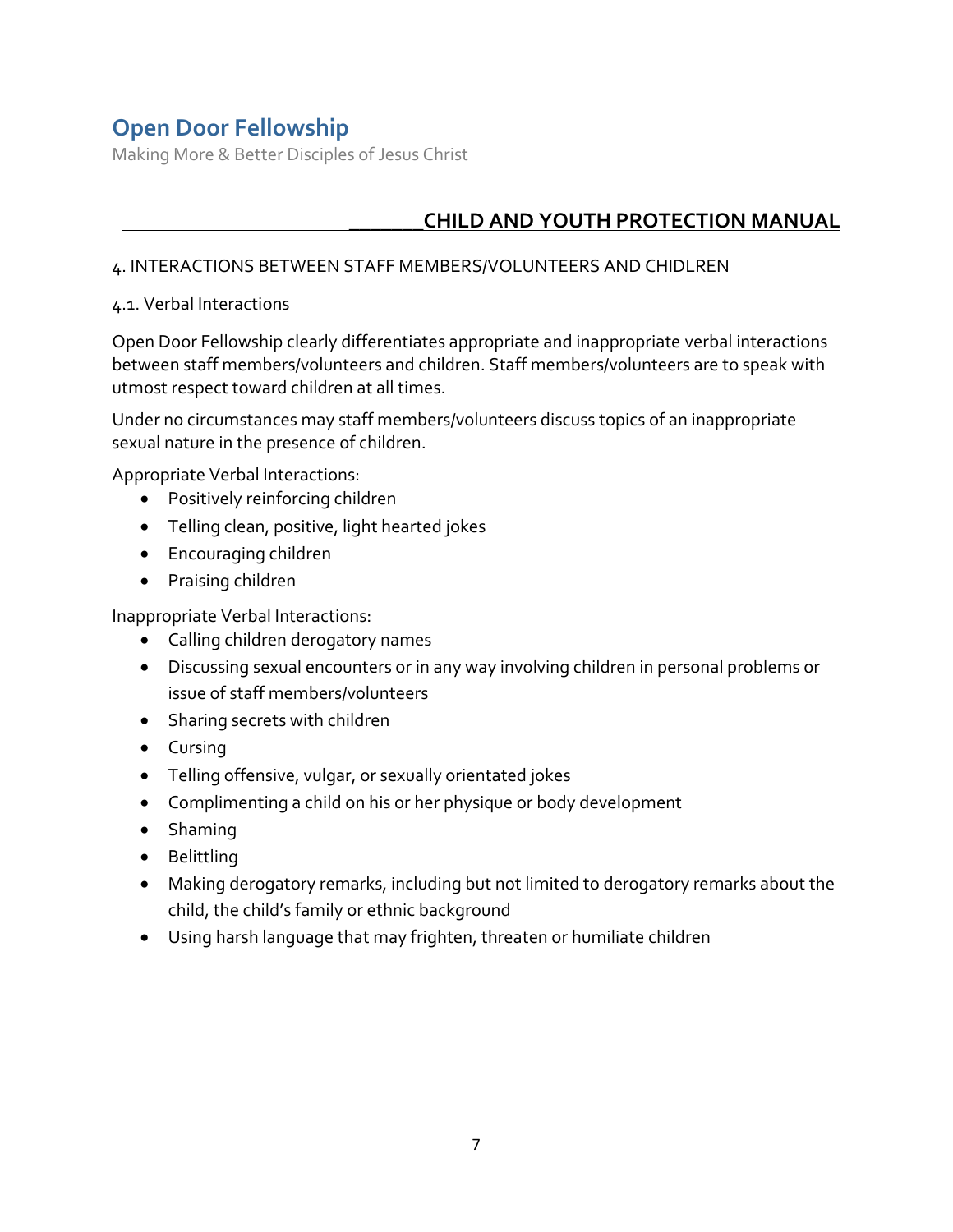Making More & Better Disciples of Jesus Christ

## \_\_\_\_\_\_\_**CHILD AND YOUTH PROTECTION MANUAL**

#### 4. INTERACTIONS BETWEEN STAFF MEMBERS/VOLUNTEERS AND CHIDLREN

#### 4.1. Verbal Interactions

Open Door Fellowship clearly differentiates appropriate and inappropriate verbal interactions between staff members/volunteers and children. Staff members/volunteers are to speak with utmost respect toward children at all times.

Under no circumstances may staff members/volunteers discuss topics of an inappropriate sexual nature in the presence of children.

Appropriate Verbal Interactions:

- Positively reinforcing children
- Telling clean, positive, light hearted jokes
- Encouraging children
- Praising children

Inappropriate Verbal Interactions:

- Calling children derogatory names
- Discussing sexual encounters or in any way involving children in personal problems or issue of staff members/volunteers
- Sharing secrets with children
- Cursing
- Telling offensive, vulgar, or sexually orientated jokes
- Complimenting a child on his or her physique or body development
- Shaming
- Belittling
- Making derogatory remarks, including but not limited to derogatory remarks about the child, the child's family or ethnic background
- Using harsh language that may frighten, threaten or humiliate children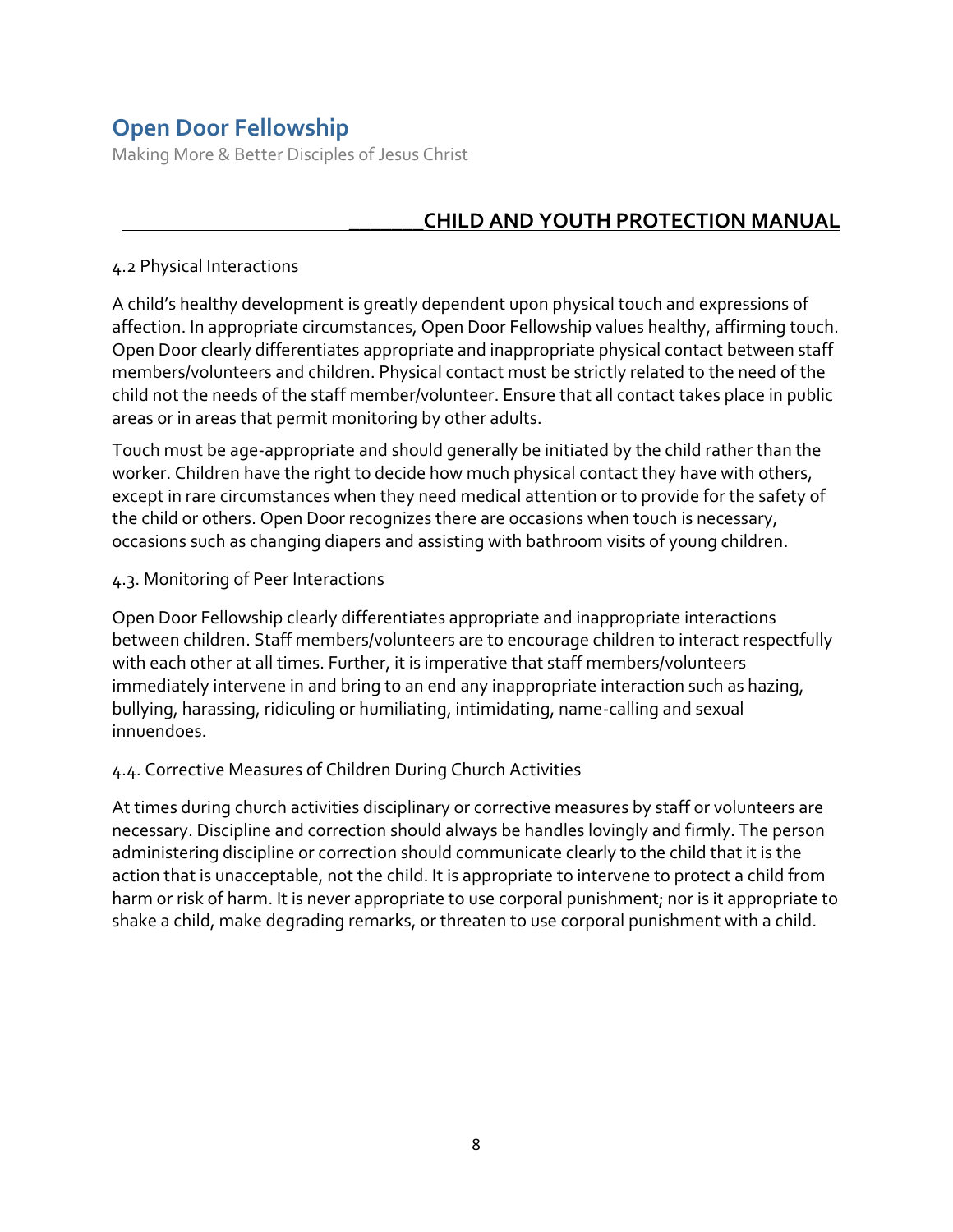Making More & Better Disciples of Jesus Christ

### \_\_\_\_\_\_\_**CHILD AND YOUTH PROTECTION MANUAL**

#### 4.2 Physical Interactions

A child's healthy development is greatly dependent upon physical touch and expressions of affection. In appropriate circumstances, Open Door Fellowship values healthy, affirming touch. Open Door clearly differentiates appropriate and inappropriate physical contact between staff members/volunteers and children. Physical contact must be strictly related to the need of the child not the needs of the staff member/volunteer. Ensure that all contact takes place in public areas or in areas that permit monitoring by other adults.

Touch must be age-appropriate and should generally be initiated by the child rather than the worker. Children have the right to decide how much physical contact they have with others, except in rare circumstances when they need medical attention or to provide for the safety of the child or others. Open Door recognizes there are occasions when touch is necessary, occasions such as changing diapers and assisting with bathroom visits of young children.

#### 4.3. Monitoring of Peer Interactions

Open Door Fellowship clearly differentiates appropriate and inappropriate interactions between children. Staff members/volunteers are to encourage children to interact respectfully with each other at all times. Further, it is imperative that staff members/volunteers immediately intervene in and bring to an end any inappropriate interaction such as hazing, bullying, harassing, ridiculing or humiliating, intimidating, name-calling and sexual innuendoes.

#### 4.4. Corrective Measures of Children During Church Activities

At times during church activities disciplinary or corrective measures by staff or volunteers are necessary. Discipline and correction should always be handles lovingly and firmly. The person administering discipline or correction should communicate clearly to the child that it is the action that is unacceptable, not the child. It is appropriate to intervene to protect a child from harm or risk of harm. It is never appropriate to use corporal punishment; nor is it appropriate to shake a child, make degrading remarks, or threaten to use corporal punishment with a child.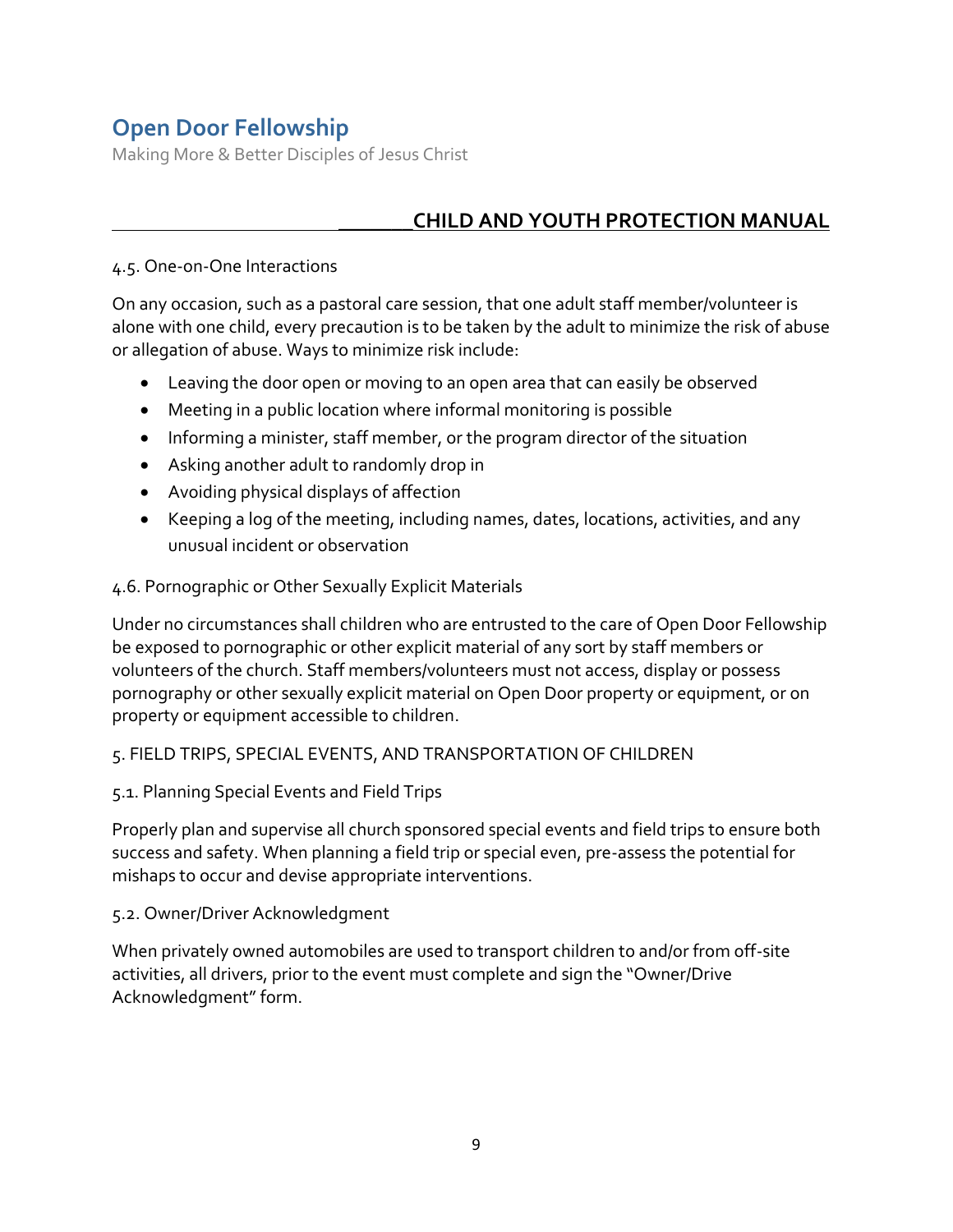Making More & Better Disciples of Jesus Christ

### \_\_\_\_\_\_\_**CHILD AND YOUTH PROTECTION MANUAL**

#### 4.5. One-on-One Interactions

On any occasion, such as a pastoral care session, that one adult staff member/volunteer is alone with one child, every precaution is to be taken by the adult to minimize the risk of abuse or allegation of abuse. Ways to minimize risk include:

- Leaving the door open or moving to an open area that can easily be observed
- Meeting in a public location where informal monitoring is possible
- Informing a minister, staff member, or the program director of the situation
- Asking another adult to randomly drop in
- Avoiding physical displays of affection
- Keeping a log of the meeting, including names, dates, locations, activities, and any unusual incident or observation

#### 4.6. Pornographic or Other Sexually Explicit Materials

Under no circumstances shall children who are entrusted to the care of Open Door Fellowship be exposed to pornographic or other explicit material of any sort by staff members or volunteers of the church. Staff members/volunteers must not access, display or possess pornography or other sexually explicit material on Open Door property or equipment, or on property or equipment accessible to children.

#### 5. FIELD TRIPS, SPECIAL EVENTS, AND TRANSPORTATION OF CHILDREN

#### 5.1. Planning Special Events and Field Trips

Properly plan and supervise all church sponsored special events and field trips to ensure both success and safety. When planning a field trip or special even, pre-assess the potential for mishaps to occur and devise appropriate interventions.

#### 5.2. Owner/Driver Acknowledgment

When privately owned automobiles are used to transport children to and/or from off-site activities, all drivers, prior to the event must complete and sign the "Owner/Drive Acknowledgment" form.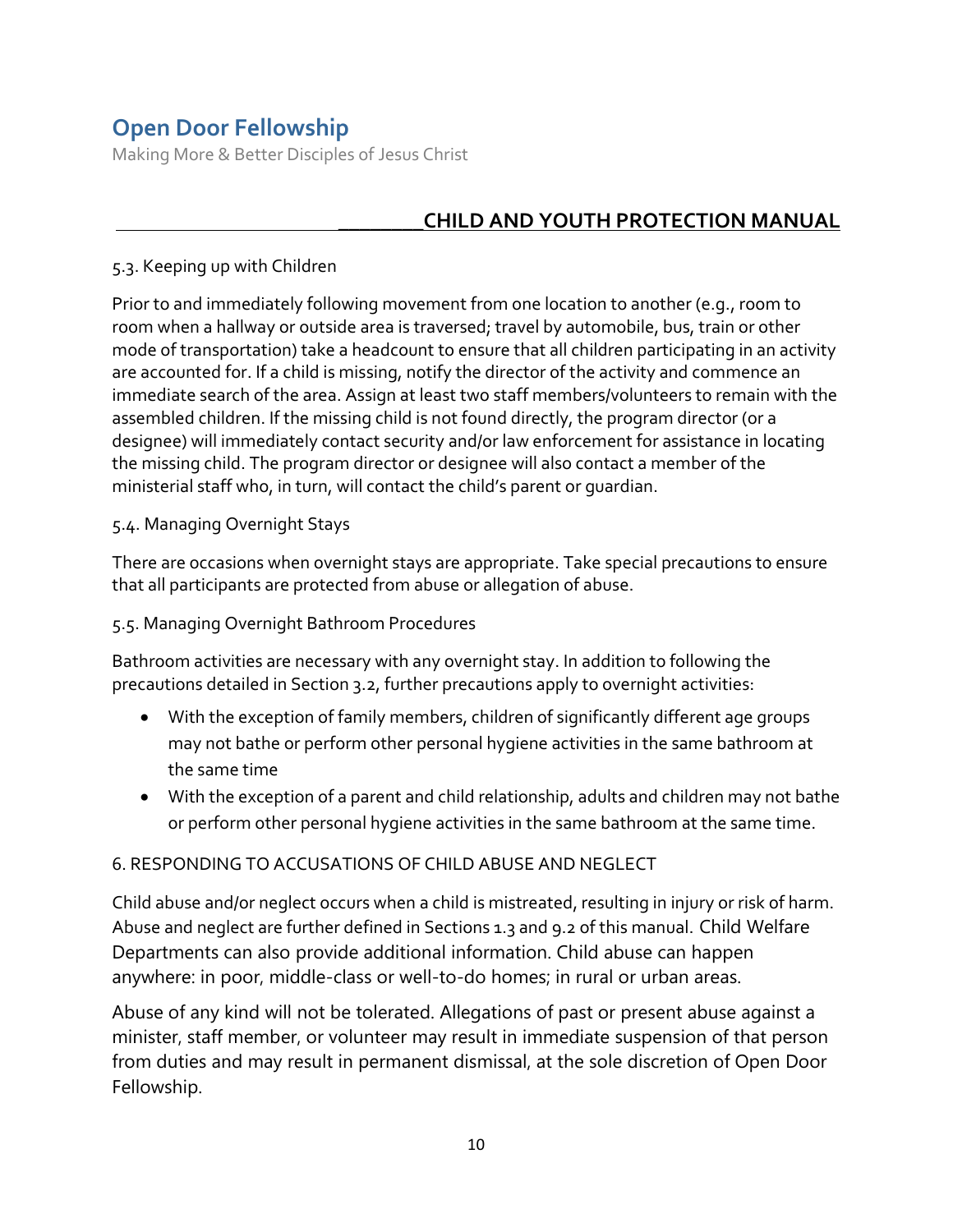Making More & Better Disciples of Jesus Christ

## \_\_\_\_\_\_\_\_**CHILD AND YOUTH PROTECTION MANUAL**

#### 5.3. Keeping up with Children

Prior to and immediately following movement from one location to another (e.g., room to room when a hallway or outside area is traversed; travel by automobile, bus, train or other mode of transportation) take a headcount to ensure that all children participating in an activity are accounted for. If a child is missing, notify the director of the activity and commence an immediate search of the area. Assign at least two staff members/volunteers to remain with the assembled children. If the missing child is not found directly, the program director (or a designee) will immediately contact security and/or law enforcement for assistance in locating the missing child. The program director or designee will also contact a member of the ministerial staff who, in turn, will contact the child's parent or guardian.

#### 5.4. Managing Overnight Stays

There are occasions when overnight stays are appropriate. Take special precautions to ensure that all participants are protected from abuse or allegation of abuse.

#### 5.5. Managing Overnight Bathroom Procedures

Bathroom activities are necessary with any overnight stay. In addition to following the precautions detailed in Section 3.2, further precautions apply to overnight activities:

- With the exception of family members, children of significantly different age groups may not bathe or perform other personal hygiene activities in the same bathroom at the same time
- With the exception of a parent and child relationship, adults and children may not bathe or perform other personal hygiene activities in the same bathroom at the same time.

#### 6. RESPONDING TO ACCUSATIONS OF CHILD ABUSE AND NEGLECT

Child abuse and/or neglect occurs when a child is mistreated, resulting in injury or risk of harm. Abuse and neglect are further defined in Sections 1.3 and 9.2 of this manual. Child Welfare Departments can also provide additional information. Child abuse can happen anywhere: in poor, middle-class or well-to-do homes; in rural or urban areas.

Abuse of any kind will not be tolerated. Allegations of past or present abuse against a minister, staff member, or volunteer may result in immediate suspension of that person from duties and may result in permanent dismissal, at the sole discretion of Open Door Fellowship.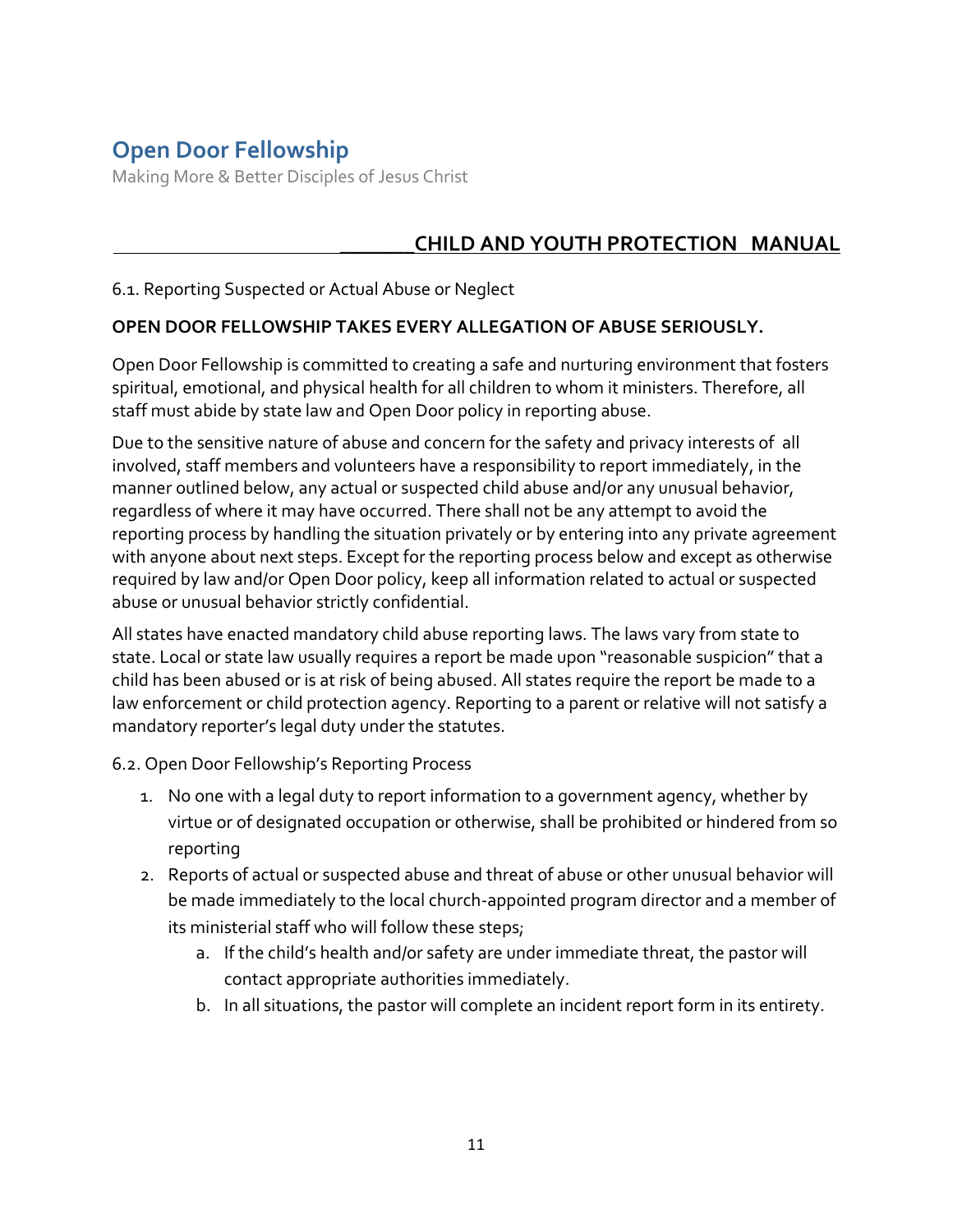Making More & Better Disciples of Jesus Christ

## \_\_\_\_\_\_\_**CHILD AND YOUTH PROTECTION MANUAL**

#### 6.1. Reporting Suspected or Actual Abuse or Neglect

#### **OPEN DOOR FELLOWSHIP TAKES EVERY ALLEGATION OF ABUSE SERIOUSLY.**

Open Door Fellowship is committed to creating a safe and nurturing environment that fosters spiritual, emotional, and physical health for all children to whom it ministers. Therefore, all staff must abide by state law and Open Door policy in reporting abuse.

Due to the sensitive nature of abuse and concern for the safety and privacy interests of all involved, staff members and volunteers have a responsibility to report immediately, in the manner outlined below, any actual or suspected child abuse and/or any unusual behavior, regardless of where it may have occurred. There shall not be any attempt to avoid the reporting process by handling the situation privately or by entering into any private agreement with anyone about next steps. Except for the reporting process below and except as otherwise required by law and/or Open Door policy, keep all information related to actual or suspected abuse or unusual behavior strictly confidential.

All states have enacted mandatory child abuse reporting laws. The laws vary from state to state. Local or state law usually requires a report be made upon "reasonable suspicion" that a child has been abused or is at risk of being abused. All states require the report be made to a law enforcement or child protection agency. Reporting to a parent or relative will not satisfy a mandatory reporter's legal duty under the statutes.

6.2. Open Door Fellowship's Reporting Process

- 1. No one with a legal duty to report information to a government agency, whether by virtue or of designated occupation or otherwise, shall be prohibited or hindered from so reporting
- 2. Reports of actual or suspected abuse and threat of abuse or other unusual behavior will be made immediately to the local church-appointed program director and a member of its ministerial staff who will follow these steps;
	- a. If the child's health and/or safety are under immediate threat, the pastor will contact appropriate authorities immediately.
	- b. In all situations, the pastor will complete an incident report form in its entirety.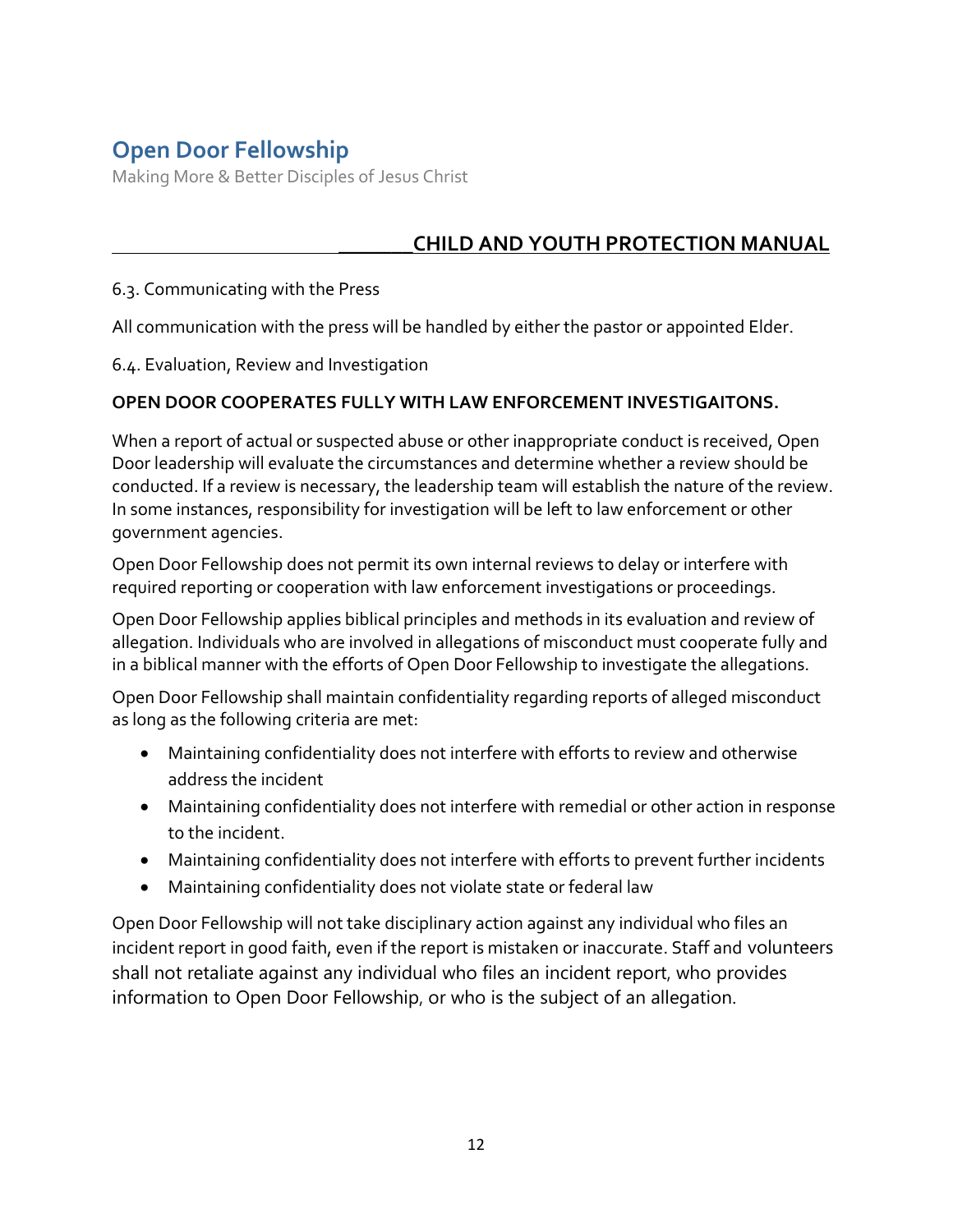Making More & Better Disciples of Jesus Christ

## \_\_\_\_\_\_\_**CHILD AND YOUTH PROTECTION MANUAL**

#### 6.3. Communicating with the Press

All communication with the press will be handled by either the pastor or appointed Elder.

6.4. Evaluation, Review and Investigation

#### **OPEN DOOR COOPERATES FULLY WITH LAW ENFORCEMENT INVESTIGAITONS.**

When a report of actual or suspected abuse or other inappropriate conduct is received, Open Door leadership will evaluate the circumstances and determine whether a review should be conducted. If a review is necessary, the leadership team will establish the nature of the review. In some instances, responsibility for investigation will be left to law enforcement or other government agencies.

Open Door Fellowship does not permit its own internal reviews to delay or interfere with required reporting or cooperation with law enforcement investigations or proceedings.

Open Door Fellowship applies biblical principles and methods in its evaluation and review of allegation. Individuals who are involved in allegations of misconduct must cooperate fully and in a biblical manner with the efforts of Open Door Fellowship to investigate the allegations.

Open Door Fellowship shall maintain confidentiality regarding reports of alleged misconduct as long as the following criteria are met:

- Maintaining confidentiality does not interfere with efforts to review and otherwise address the incident
- Maintaining confidentiality does not interfere with remedial or other action in response to the incident.
- Maintaining confidentiality does not interfere with efforts to prevent further incidents
- Maintaining confidentiality does not violate state or federal law

Open Door Fellowship will not take disciplinary action against any individual who files an incident report in good faith, even if the report is mistaken or inaccurate. Staff and volunteers shall not retaliate against any individual who files an incident report, who provides information to Open Door Fellowship, or who is the subject of an allegation.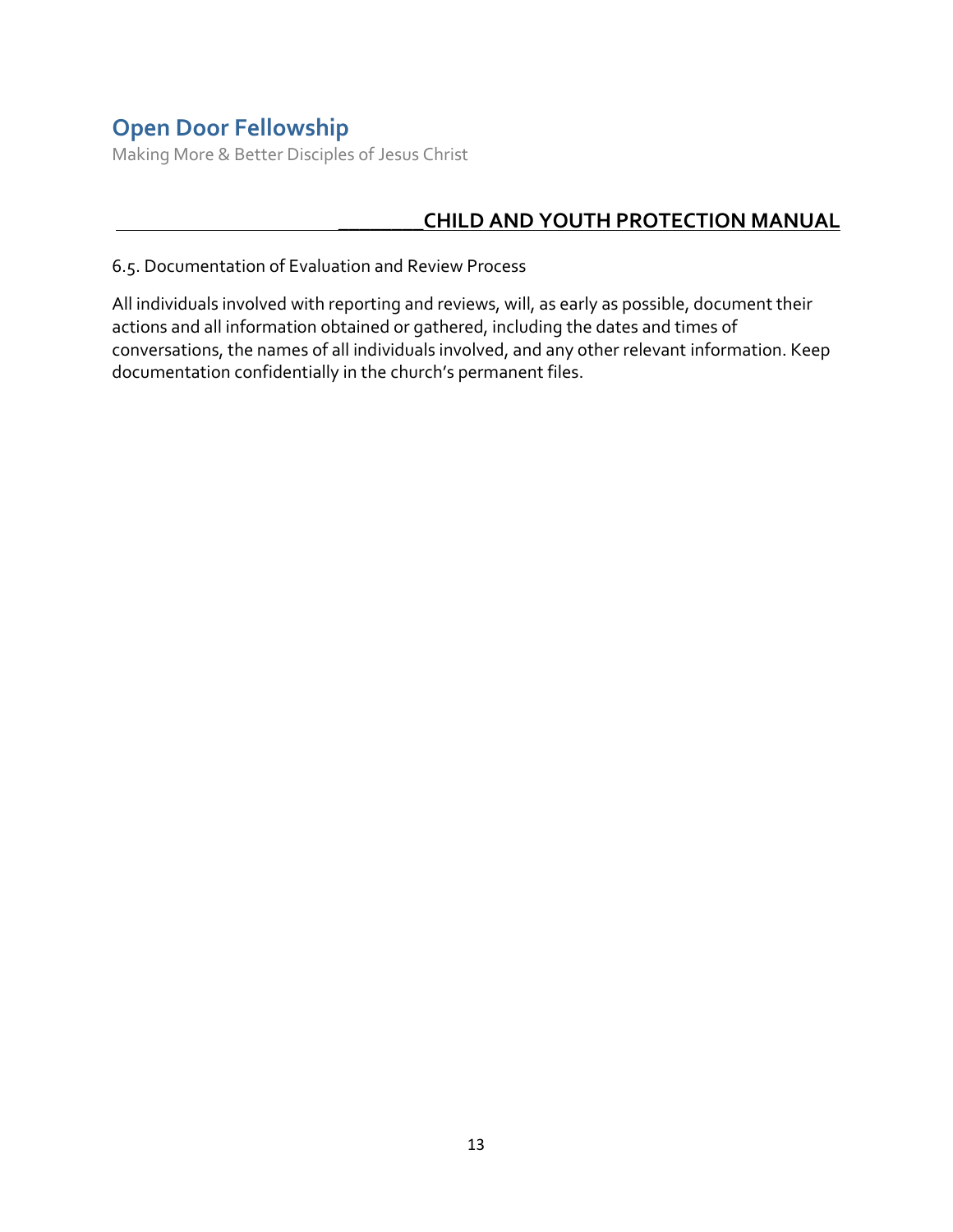Making More & Better Disciples of Jesus Christ

## \_\_\_\_\_\_\_\_**CHILD AND YOUTH PROTECTION MANUAL**

6.5. Documentation of Evaluation and Review Process

All individuals involved with reporting and reviews, will, as early as possible, document their actions and all information obtained or gathered, including the dates and times of conversations, the names of all individuals involved, and any other relevant information. Keep documentation confidentially in the church's permanent files.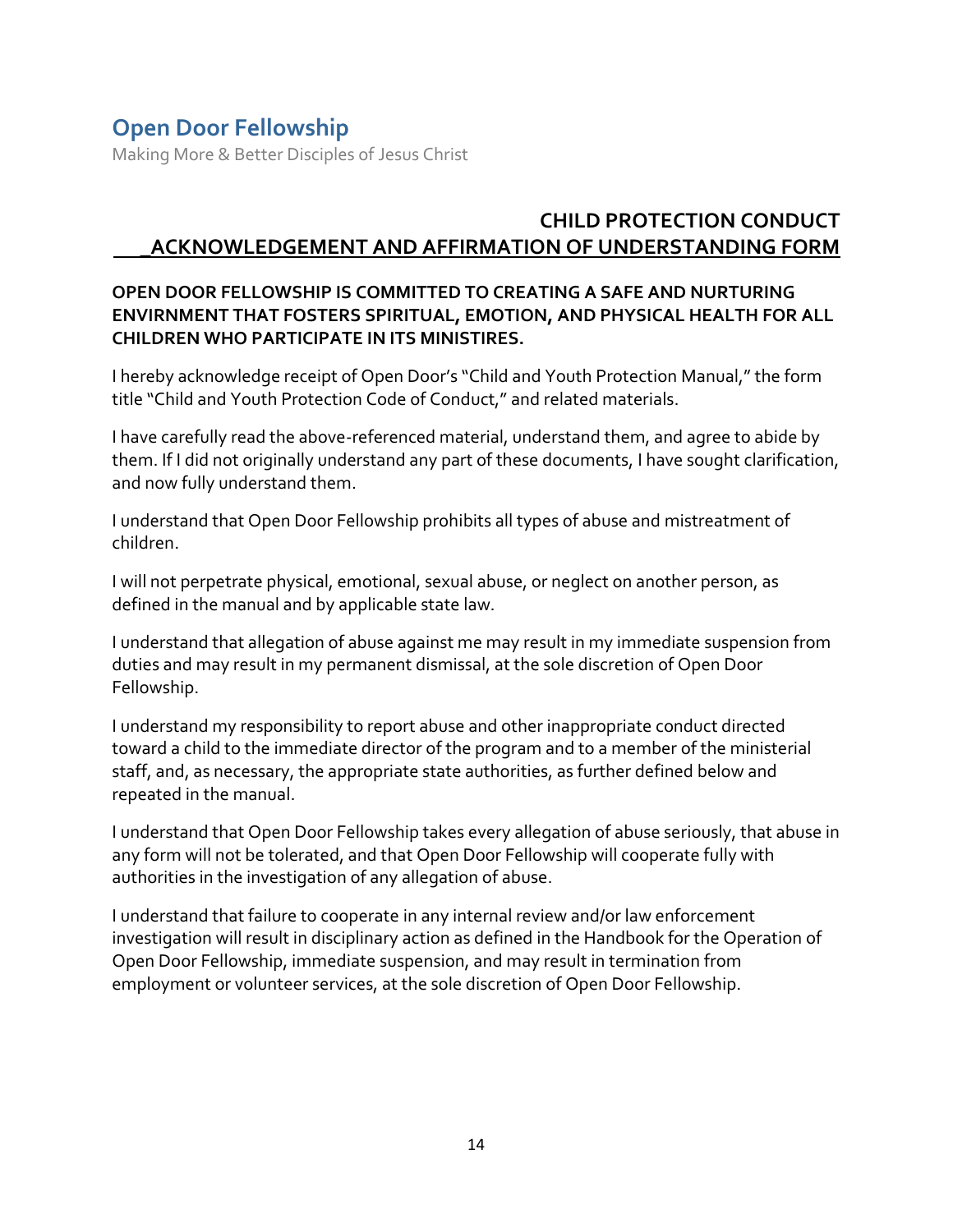Making More & Better Disciples of Jesus Christ

### **CHILD PROTECTION CONDUCT \_ACKNOWLEDGEMENT AND AFFIRMATION OF UNDERSTANDING FORM**

#### **OPEN DOOR FELLOWSHIP IS COMMITTED TO CREATING A SAFE AND NURTURING ENVIRNMENT THAT FOSTERS SPIRITUAL, EMOTION, AND PHYSICAL HEALTH FOR ALL CHILDREN WHO PARTICIPATE IN ITS MINISTIRES.**

I hereby acknowledge receipt of Open Door's "Child and Youth Protection Manual," the form title "Child and Youth Protection Code of Conduct," and related materials.

I have carefully read the above-referenced material, understand them, and agree to abide by them. If I did not originally understand any part of these documents, I have sought clarification, and now fully understand them.

I understand that Open Door Fellowship prohibits all types of abuse and mistreatment of children.

I will not perpetrate physical, emotional, sexual abuse, or neglect on another person, as defined in the manual and by applicable state law.

I understand that allegation of abuse against me may result in my immediate suspension from duties and may result in my permanent dismissal, at the sole discretion of Open Door Fellowship.

I understand my responsibility to report abuse and other inappropriate conduct directed toward a child to the immediate director of the program and to a member of the ministerial staff, and, as necessary, the appropriate state authorities, as further defined below and repeated in the manual.

I understand that Open Door Fellowship takes every allegation of abuse seriously, that abuse in any form will not be tolerated, and that Open Door Fellowship will cooperate fully with authorities in the investigation of any allegation of abuse.

I understand that failure to cooperate in any internal review and/or law enforcement investigation will result in disciplinary action as defined in the Handbook for the Operation of Open Door Fellowship, immediate suspension, and may result in termination from employment or volunteer services, at the sole discretion of Open Door Fellowship.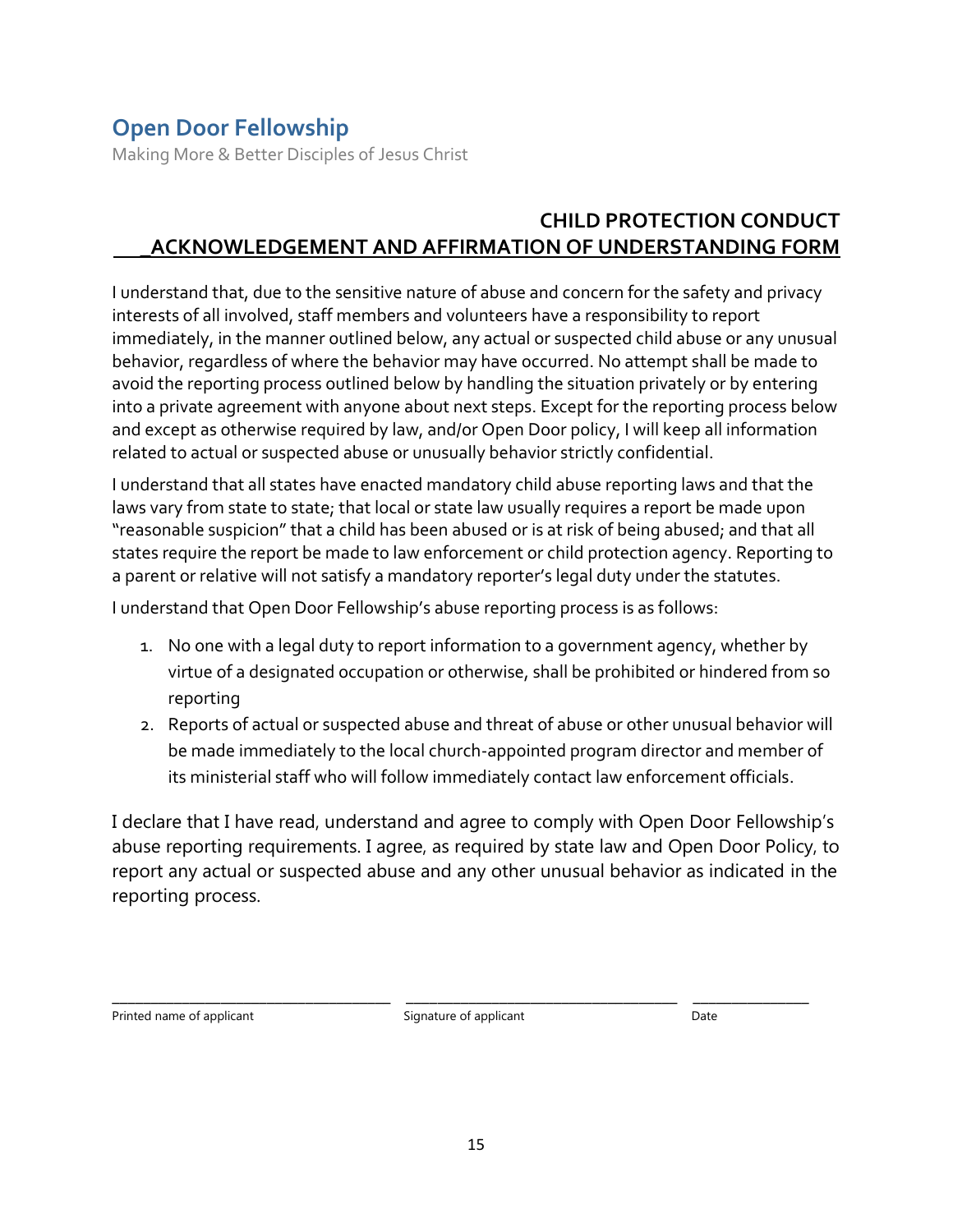Making More & Better Disciples of Jesus Christ

## **CHILD PROTECTION CONDUCT \_ACKNOWLEDGEMENT AND AFFIRMATION OF UNDERSTANDING FORM**

I understand that, due to the sensitive nature of abuse and concern for the safety and privacy interests of all involved, staff members and volunteers have a responsibility to report immediately, in the manner outlined below, any actual or suspected child abuse or any unusual behavior, regardless of where the behavior may have occurred. No attempt shall be made to avoid the reporting process outlined below by handling the situation privately or by entering into a private agreement with anyone about next steps. Except for the reporting process below and except as otherwise required by law, and/or Open Door policy, I will keep all information related to actual or suspected abuse or unusually behavior strictly confidential.

I understand that all states have enacted mandatory child abuse reporting laws and that the laws vary from state to state; that local or state law usually requires a report be made upon "reasonable suspicion" that a child has been abused or is at risk of being abused; and that all states require the report be made to law enforcement or child protection agency. Reporting to a parent or relative will not satisfy a mandatory reporter's legal duty under the statutes.

I understand that Open Door Fellowship's abuse reporting process is as follows:

- 1. No one with a legal duty to report information to a government agency, whether by virtue of a designated occupation or otherwise, shall be prohibited or hindered from so reporting
- 2. Reports of actual or suspected abuse and threat of abuse or other unusual behavior will be made immediately to the local church-appointed program director and member of its ministerial staff who will follow immediately contact law enforcement officials.

I declare that I have read, understand and agree to comply with Open Door Fellowship's abuse reporting requirements. I agree, as required by state law and Open Door Policy, to report any actual or suspected abuse and any other unusual behavior as indicated in the reporting process.

Printed name of applicant and the Signature of applicant and Date Date

\_\_\_\_\_\_\_\_\_\_\_\_\_\_\_\_\_\_\_\_\_\_\_\_\_\_\_\_\_\_\_\_\_\_\_\_ \_\_\_\_\_\_\_\_\_\_\_\_\_\_\_\_\_\_\_\_\_\_\_\_\_\_\_\_\_\_\_\_\_\_\_ \_\_\_\_\_\_\_\_\_\_\_\_\_\_\_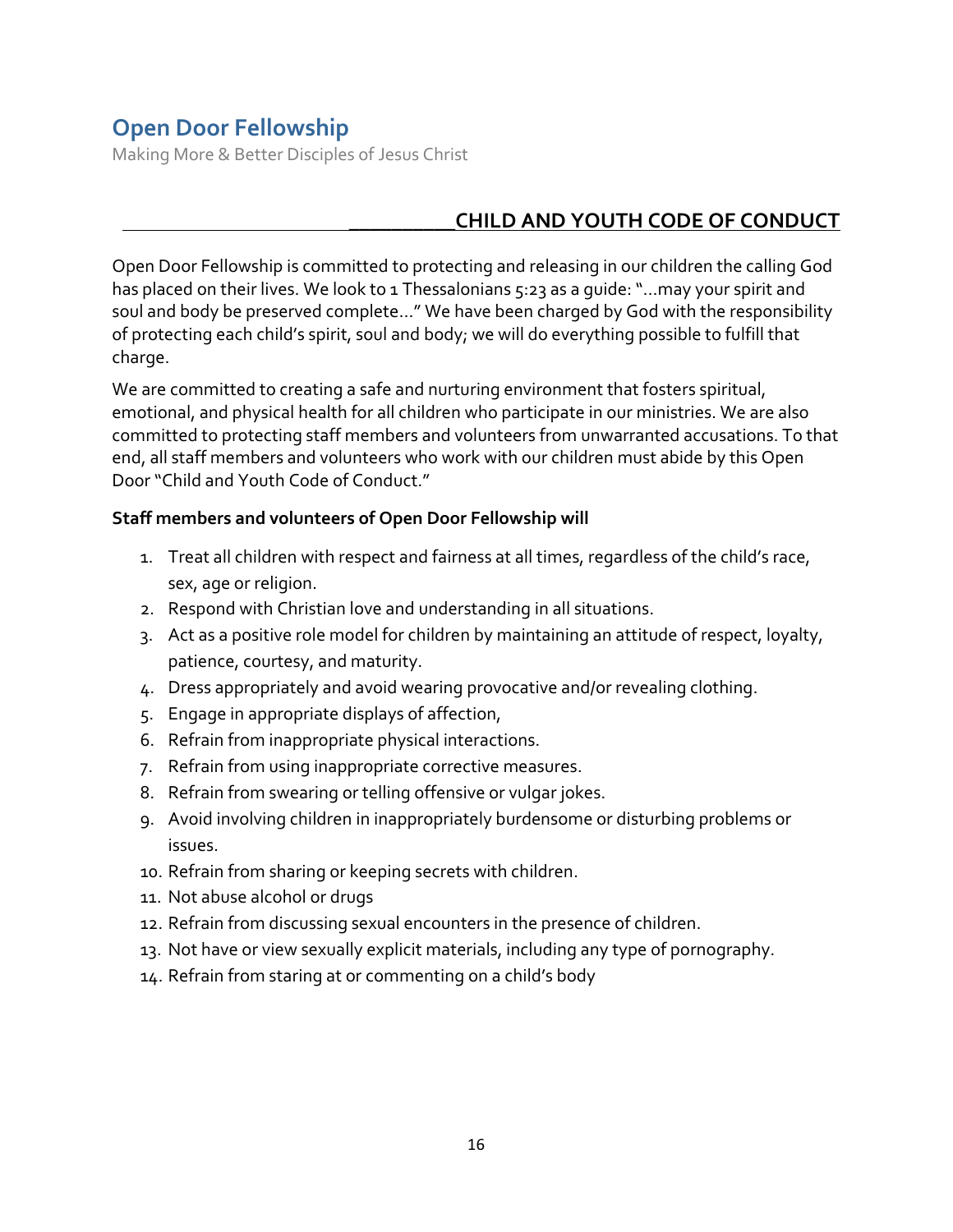Making More & Better Disciples of Jesus Christ

### \_\_\_\_\_\_\_\_\_\_**CHILD AND YOUTH CODE OF CONDUCT**

Open Door Fellowship is committed to protecting and releasing in our children the calling God has placed on their lives. We look to 1 Thessalonians 5:23 as a quide: "...may your spirit and soul and body be preserved complete…" We have been charged by God with the responsibility of protecting each child's spirit, soul and body; we will do everything possible to fulfill that charge.

We are committed to creating a safe and nurturing environment that fosters spiritual, emotional, and physical health for all children who participate in our ministries. We are also committed to protecting staff members and volunteers from unwarranted accusations. To that end, all staff members and volunteers who work with our children must abide by this Open Door "Child and Youth Code of Conduct."

#### **Staff members and volunteers of Open Door Fellowship will**

- 1. Treat all children with respect and fairness at all times, regardless of the child's race, sex, age or religion.
- 2. Respond with Christian love and understanding in all situations.
- 3. Act as a positive role model for children by maintaining an attitude of respect, loyalty, patience, courtesy, and maturity.
- 4. Dress appropriately and avoid wearing provocative and/or revealing clothing.
- 5. Engage in appropriate displays of affection,
- 6. Refrain from inappropriate physical interactions.
- 7. Refrain from using inappropriate corrective measures.
- 8. Refrain from swearing or telling offensive or vulgar jokes.
- 9. Avoid involving children in inappropriately burdensome or disturbing problems or issues.
- 10. Refrain from sharing or keeping secrets with children.
- 11. Not abuse alcohol or drugs
- 12. Refrain from discussing sexual encounters in the presence of children.
- 13. Not have or view sexually explicit materials, including any type of pornography.
- 14. Refrain from staring at or commenting on a child's body